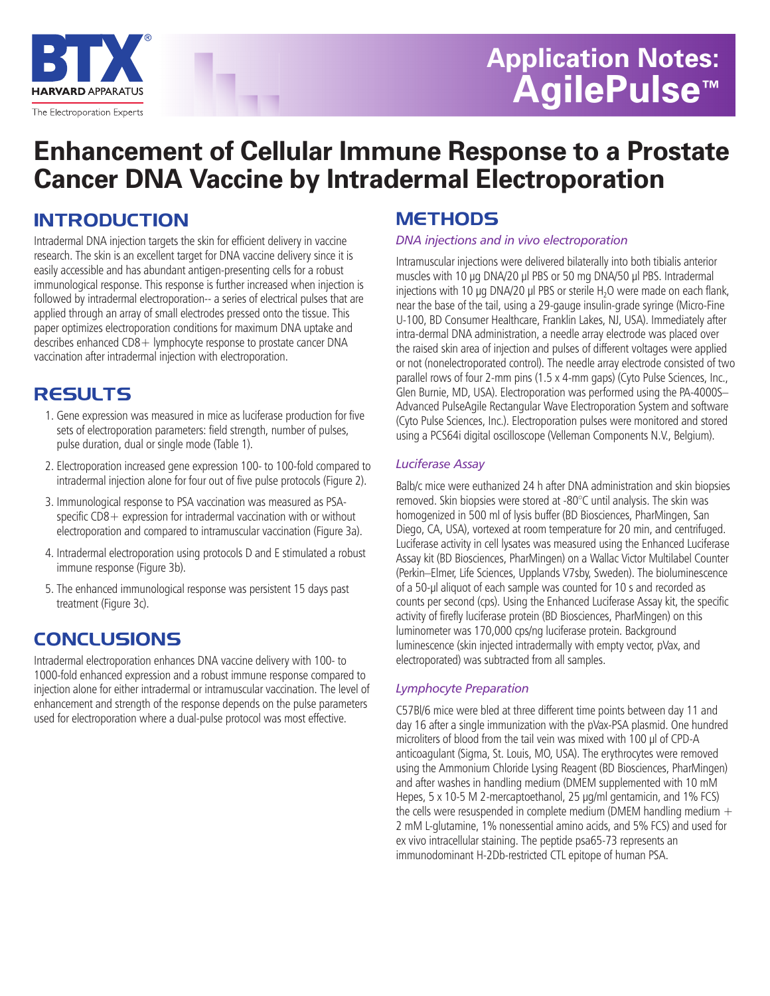

# **Application Notes: AgilePulse™**

## **Enhancement of Cellular Immune Response to a Prostate Cancer DNA Vaccine by Intradermal Electroporation**

### **INTRODUCTION**

Intradermal DNA injection targets the skin for efficient delivery in vaccine research. The skin is an excellent target for DNA vaccine delivery since it is easily accessible and has abundant antigen-presenting cells for a robust immunological response. This response is further increased when injection is followed by intradermal electroporation-- a series of electrical pulses that are applied through an array of small electrodes pressed onto the tissue. This paper optimizes electroporation conditions for maximum DNA uptake and describes enhanced CD8 + lymphocyte response to prostate cancer DNA vaccination after intradermal injection with electroporation.

### **RESULTS**

- 1. Gene expression was measured in mice as luciferase production for five sets of electroporation parameters: field strength, number of pulses, pulse duration, dual or single mode (Table 1).
- 2. Electroporation increased gene expression 100- to 100-fold compared to intradermal injection alone for four out of five pulse protocols (Figure 2).
- 3. Immunological response to PSA vaccination was measured as PSAspecific CD8 + expression for intradermal vaccination with or without electroporation and compared to intramuscular vaccination (Figure 3a).
- 4. Intradermal electroporation using protocols D and E stimulated a robust immune response (Figure 3b).
- 5. The enhanced immunological response was persistent 15 days past treatment (Figure 3c).

### **CONCLUSIONS**

Intradermal electroporation enhances DNA vaccine delivery with 100- to 1000-fold enhanced expression and a robust immune response compared to injection alone for either intradermal or intramuscular vaccination. The level of enhancement and strength of the response depends on the pulse parameters used for electroporation where a dual-pulse protocol was most effective.

### **METHODS**

#### *DNA injections and in vivo electroporation*

Intramuscular injections were delivered bilaterally into both tibialis anterior muscles with 10 **µ**g DNA/20 **µ**l PBS or 50 mg DNA/50 **µ**l PBS. Intradermal injections with 10 µg DNA/20 µl PBS or sterile H<sub>2</sub>O were made on each flank, near the base of the tail, using a 29-gauge insulin-grade syringe (Micro-Fine U-100, BD Consumer Healthcare, Franklin Lakes, NJ, USA). Immediately after intra-dermal DNA administration, a needle array electrode was placed over the raised skin area of injection and pulses of different voltages were applied or not (nonelectroporated control). The needle array electrode consisted of two parallel rows of four 2-mm pins (1.5 x 4-mm gaps) (Cyto Pulse Sciences, Inc., Glen Burnie, MD, USA). Electroporation was performed using the PA-4000S– Advanced PulseAgile Rectangular Wave Electroporation System and software (Cyto Pulse Sciences, Inc.). Electroporation pulses were monitored and stored using a PCS64i digital oscilloscope (Velleman Components N.V., Belgium).

#### *Luciferase Assay*

Balb/c mice were euthanized 24 h after DNA administration and skin biopsies removed. Skin biopsies were stored at -80°C until analysis. The skin was homogenized in 500 ml of lysis buffer (BD Biosciences, PharMingen, San Diego, CA, USA), vortexed at room temperature for 20 min, and centrifuged. Luciferase activity in cell lysates was measured using the Enhanced Luciferase Assay kit (BD Biosciences, PharMingen) on a Wallac Victor Multilabel Counter (Perkin–Elmer, Life Sciences, Upplands V7sby, Sweden). The bioluminescence of a 50-**µ**l aliquot of each sample was counted for 10 s and recorded as counts per second (cps). Using the Enhanced Luciferase Assay kit, the specific activity of firefly luciferase protein (BD Biosciences, PharMingen) on this luminometer was 170,000 cps/ng luciferase protein. Background luminescence (skin injected intradermally with empty vector, pVax, and electroporated) was subtracted from all samples.

#### *Lymphocyte Preparation*

C57Bl/6 mice were bled at three different time points between day 11 and day 16 after a single immunization with the pVax-PSA plasmid. One hundred microliters of blood from the tail vein was mixed with 100 **µ**l of CPD-A anticoagulant (Sigma, St. Louis, MO, USA). The erythrocytes were removed using the Ammonium Chloride Lysing Reagent (BD Biosciences, PharMingen) and after washes in handling medium (DMEM supplemented with 10 mM Hepes, 5 x 10-5 M 2-mercaptoethanol, 25 **µ**g/ml gentamicin, and 1% FCS) the cells were resuspended in complete medium (DMEM handling medium  $+$ 2 mM L-glutamine, 1% nonessential amino acids, and 5% FCS) and used for ex vivo intracellular staining. The peptide psa65-73 represents an immunodominant H-2Db-restricted CTL epitope of human PSA.